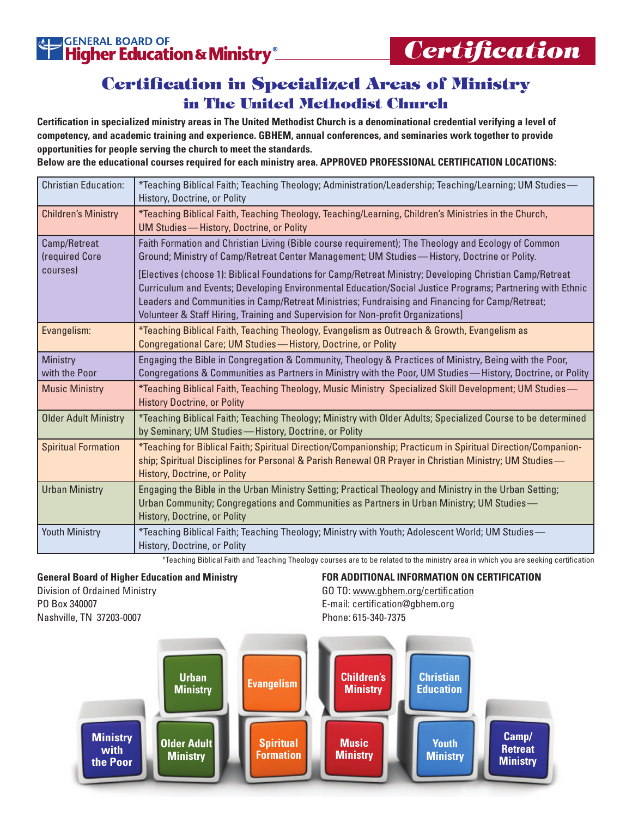## Certification in Specialized Areas of Ministry in The United Methodist Church

**Certification in specialized ministry areas in The United Methodist Church is a denominational credential verifying a level of competency, and academic training and experience. GBHEM, annual conferences, and seminaries work together to provide opportunities for people serving the church to meet the standards.**

**Below are the educational courses required for each ministry area. APPROVED PROFESSIONAL CERTIFICATION LOCATIONS:**

| <b>Christian Education:</b>    | -Teaching Biblical Faith; Teaching Theology; Administration/Leadership; Teaching/Learning; UM Studies*<br>History, Doctrine, or Polity                                                                                                                                                                                                                                                                       |  |  |
|--------------------------------|--------------------------------------------------------------------------------------------------------------------------------------------------------------------------------------------------------------------------------------------------------------------------------------------------------------------------------------------------------------------------------------------------------------|--|--|
| <b>Children's Ministry</b>     | *Teaching Biblical Faith, Teaching Theology, Teaching/Learning, Children's Ministries in the Church,<br>UM Studies - History, Doctrine, or Polity                                                                                                                                                                                                                                                            |  |  |
| Camp/Retreat<br>(required Core | Faith Formation and Christian Living (Bible course requirement); The Theology and Ecology of Common<br>Ground; Ministry of Camp/Retreat Center Management; UM Studies—History, Doctrine or Polity.                                                                                                                                                                                                           |  |  |
| courses)                       | [Electives (choose 1): Biblical Foundations for Camp/Retreat Ministry; Developing Christian Camp/Retreat<br>Curriculum and Events; Developing Environmental Education/Social Justice Programs; Partnering with Ethnic<br>Leaders and Communities in Camp/Retreat Ministries; Fundraising and Financing for Camp/Retreat;<br>Volunteer & Staff Hiring, Training and Supervision for Non-profit Organizations] |  |  |
| Evangelism:                    | *Teaching Biblical Faith, Teaching Theology, Evangelism as Outreach & Growth, Evangelism as<br>Congregational Care; UM Studies - History, Doctrine, or Polity                                                                                                                                                                                                                                                |  |  |
| Ministry<br>with the Poor      | Engaging the Bible in Congregation & Community, Theology & Practices of Ministry, Being with the Poor,<br>Congregations & Communities as Partners in Ministry with the Poor, UM Studies—History, Doctrine, or Polity                                                                                                                                                                                         |  |  |
| <b>Music Ministry</b>          | *Teaching Biblical Faith, Teaching Theology, Music Ministry Specialized Skill Development; UM Studies—<br><b>History Doctrine, or Polity</b>                                                                                                                                                                                                                                                                 |  |  |
| <b>Older Adult Ministry</b>    | *Teaching Biblical Faith; Teaching Theology; Ministry with Older Adults; Specialized Course to be determined<br>by Seminary; UM Studies-History, Doctrine, or Polity                                                                                                                                                                                                                                         |  |  |
| <b>Spiritual Formation</b>     | *Teaching for Biblical Faith; Spiritual Direction/Companionship; Practicum in Spiritual Direction/Companion-<br>ship; Spiritual Disciplines for Personal & Parish Renewal OR Prayer in Christian Ministry; UM Studies—<br>History, Doctrine, or Polity                                                                                                                                                       |  |  |
| <b>Urban Ministry</b>          | Engaging the Bible in the Urban Ministry Setting; Practical Theology and Ministry in the Urban Setting;<br>Urban Community; Congregations and Communities as Partners in Urban Ministry; UM Studies-<br>History, Doctrine, or Polity                                                                                                                                                                         |  |  |
| <b>Youth Ministry</b>          | *Teaching Biblical Faith; Teaching Theology; Ministry with Youth; Adolescent World; UM Studies—<br>History, Doctrine, or Polity                                                                                                                                                                                                                                                                              |  |  |

\*Teaching Biblical Faith and Teaching Theology courses are to be related to the ministry area in which you are seeking certification

## **General Board of Higher Education and Ministry**

Division of Ordained Ministry PO Box 340007 Nashville, TN 37203-0007

**FOR ADDITIONAL INFORMATION ON CERTIFICATION** GO TO: www.gbhem.org/certification E-mail: certification@gbhem.org Phone: 615-340-7375